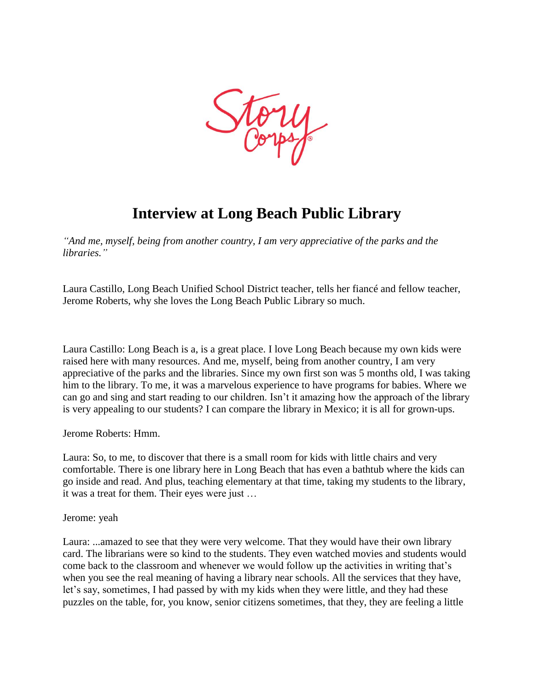

## **Interview at Long Beach Public Library**

*"And me, myself, being from another country, I am very appreciative of the parks and the libraries."*

Laura Castillo, Long Beach Unified School District teacher, tells her fiancé and fellow teacher, Jerome Roberts, why she loves the Long Beach Public Library so much.

Laura Castillo: Long Beach is a, is a great place. I love Long Beach because my own kids were raised here with many resources. And me, myself, being from another country, I am very appreciative of the parks and the libraries. Since my own first son was 5 months old, I was taking him to the library. To me, it was a marvelous experience to have programs for babies. Where we can go and sing and start reading to our children. Isn't it amazing how the approach of the library is very appealing to our students? I can compare the library in Mexico; it is all for grown-ups.

Jerome Roberts: Hmm.

Laura: So, to me, to discover that there is a small room for kids with little chairs and very comfortable. There is one library here in Long Beach that has even a bathtub where the kids can go inside and read. And plus, teaching elementary at that time, taking my students to the library, it was a treat for them. Their eyes were just …

Jerome: yeah

Laura: ...amazed to see that they were very welcome. That they would have their own library card. The librarians were so kind to the students. They even watched movies and students would come back to the classroom and whenever we would follow up the activities in writing that's when you see the real meaning of having a library near schools. All the services that they have, let's say, sometimes, I had passed by with my kids when they were little, and they had these puzzles on the table, for, you know, senior citizens sometimes, that they, they are feeling a little